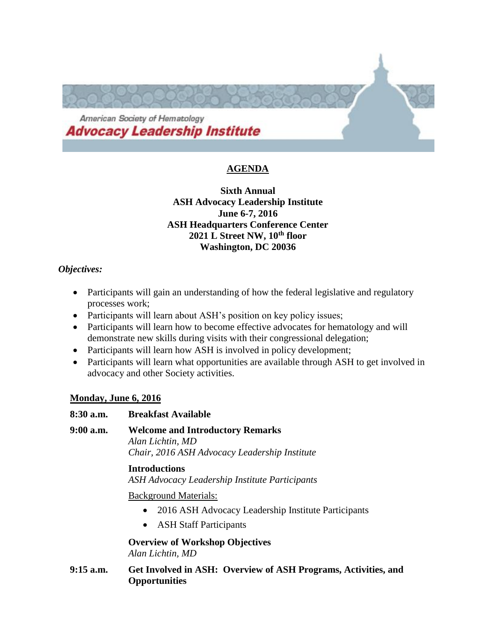

## **AGENDA**

## **Sixth Annual ASH Advocacy Leadership Institute June 6-7, 2016 ASH Headquarters Conference Center 2021 L Street NW, 10th floor Washington, DC 20036**

## *Objectives:*

- Participants will gain an understanding of how the federal legislative and regulatory processes work;
- Participants will learn about ASH's position on key policy issues;
- Participants will learn how to become effective advocates for hematology and will demonstrate new skills during visits with their congressional delegation;
- Participants will learn how ASH is involved in policy development;
- Participants will learn what opportunities are available through ASH to get involved in advocacy and other Society activities.

## **Monday, June 6, 2016**

| $8:30$ a.m. | <b>Breakfast Available</b>                                                                                      |
|-------------|-----------------------------------------------------------------------------------------------------------------|
| $9:00$ a.m. | <b>Welcome and Introductory Remarks</b><br>Alan Lichtin, MD<br>Chair, 2016 ASH Advocacy Leadership Institute    |
|             | <b>Introductions</b><br>ASH Advocacy Leadership Institute Participants                                          |
|             | <b>Background Materials:</b><br>2016 ASH Advocacy Leadership Institute Participants<br>• ASH Staff Participants |
|             | <b>Overview of Workshop Objectives</b><br>Alan Lichtin, MD                                                      |
|             |                                                                                                                 |

**9:15 a.m. Get Involved in ASH: Overview of ASH Programs, Activities, and Opportunities**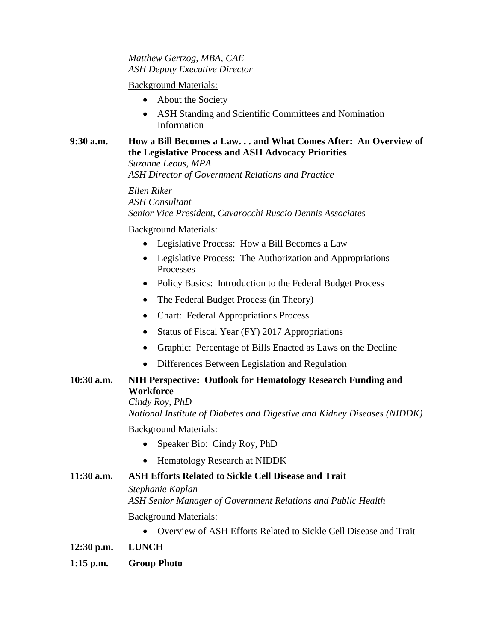### *Matthew Gertzog, MBA, CAE ASH Deputy Executive Director*

### Background Materials:

- About the Society
- ASH Standing and Scientific Committees and Nomination Information

#### **9:30 a.m. How a Bill Becomes a Law. . . and What Comes After: An Overview of the Legislative Process and ASH Advocacy Priorities** *Suzanne Leous, MPA*

*ASH Director of Government Relations and Practice*

*Ellen Riker ASH Consultant Senior Vice President, Cavarocchi Ruscio Dennis Associates*

Background Materials:

- Legislative Process: How a Bill Becomes a Law
- Legislative Process: The Authorization and Appropriations Processes
- Policy Basics: Introduction to the Federal Budget Process
- The Federal Budget Process (in Theory)
- Chart: Federal Appropriations Process
- Status of Fiscal Year (FY) 2017 Appropriations
- Graphic: Percentage of Bills Enacted as Laws on the Decline
- Differences Between Legislation and Regulation

## **10:30 a.m. NIH Perspective: Outlook for Hematology Research Funding and Workforce**

*Cindy Roy, PhD National Institute of Diabetes and Digestive and Kidney Diseases (NIDDK)*

Background Materials:

- Speaker Bio: Cindy Roy, PhD
- Hematology Research at NIDDK

## **11:30 a.m. ASH Efforts Related to Sickle Cell Disease and Trait**

*Stephanie Kaplan*

*ASH Senior Manager of Government Relations and Public Health*

Background Materials:

- Overview of ASH Efforts Related to Sickle Cell Disease and Trait
- **12:30 p.m. LUNCH**
- **1:15 p.m. Group Photo**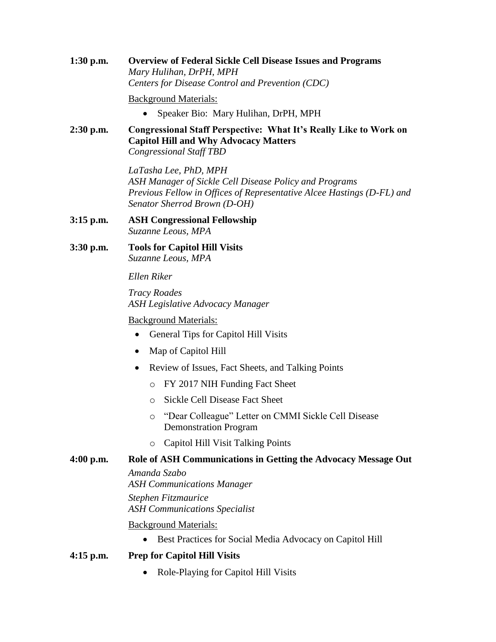**1:30 p.m. Overview of Federal Sickle Cell Disease Issues and Programs** *Mary Hulihan, DrPH, MPH Centers for Disease Control and Prevention (CDC)*

Background Materials:

- Speaker Bio: Mary Hulihan, DrPH, MPH
- **2:30 p.m. Congressional Staff Perspective: What It's Really Like to Work on Capitol Hill and Why Advocacy Matters** *Congressional Staff TBD*

*LaTasha Lee, PhD, MPH ASH Manager of Sickle Cell Disease Policy and Programs Previous Fellow in Offices of Representative Alcee Hastings (D-FL) and Senator Sherrod Brown (D-OH)*

- **3:15 p.m. ASH Congressional Fellowship** *Suzanne Leous, MPA*
- **3:30 p.m. Tools for Capitol Hill Visits** *Suzanne Leous, MPA*

*Ellen Riker*

*Tracy Roades ASH Legislative Advocacy Manager*

Background Materials:

- General Tips for Capitol Hill Visits
- Map of Capitol Hill
- Review of Issues, Fact Sheets, and Talking Points
	- o FY 2017 NIH Funding Fact Sheet
	- o Sickle Cell Disease Fact Sheet
	- o "Dear Colleague" Letter on CMMI Sickle Cell Disease Demonstration Program
	- o Capitol Hill Visit Talking Points

## **4:00 p.m. Role of ASH Communications in Getting the Advocacy Message Out**

*Amanda Szabo ASH Communications Manager Stephen Fitzmaurice ASH Communications Specialist*

#### Background Materials:

- Best Practices for Social Media Advocacy on Capitol Hill
- **4:15 p.m. Prep for Capitol Hill Visits**
	- Role-Playing for Capitol Hill Visits